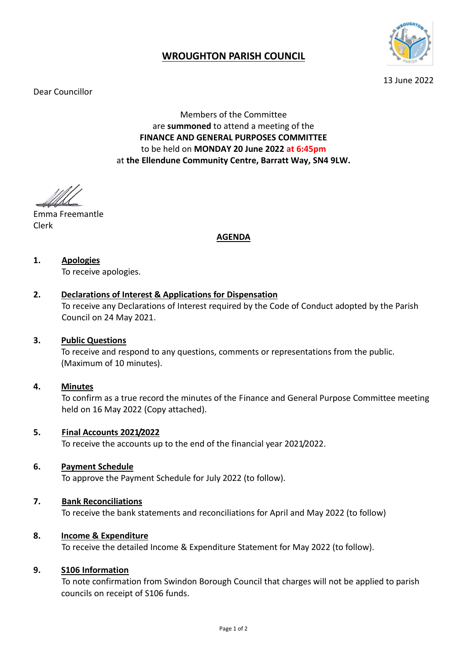

# **WROUGHTON PARISH COUNCIL**

Dear Councillor

13 June 2022

Members of the Committee are **summoned** to attend a meeting of the **FINANCE AND GENERAL PURPOSES COMMITTEE** to be held on **MONDAY 20 June 2022 at 6:45pm** at **the Ellendune Community Centre, Barratt Way, SN4 9LW.** 

Emma Freemantle Clerk

## **AGENDA**

# **1. Apologies**

To receive apologies.

## **2. Declarations of Interest & Applications for Dispensation**

To receive any Declarations of Interest required by the Code of Conduct adopted by the Parish Council on 24 May 2021.

## **3. Public Questions**

To receive and respond to any questions, comments or representations from the public. (Maximum of 10 minutes).

#### **4. Minutes**

To confirm as a true record the minutes of the Finance and General Purpose Committee meeting held on 16 May 2022 (Copy attached).

## **5. Final Accounts 2021/2022**

To receive the accounts up to the end of the financial year 2021/2022.

## **6. Payment Schedule**

To approve the Payment Schedule for July 2022 (to follow).

## **7. Bank Reconciliations**

To receive the bank statements and reconciliations for April and May 2022 (to follow)

## **8. Income & Expenditure**

To receive the detailed Income & Expenditure Statement for May 2022 (to follow).

#### **9. S106 Information**

To note confirmation from Swindon Borough Council that charges will not be applied to parish councils on receipt of S106 funds.